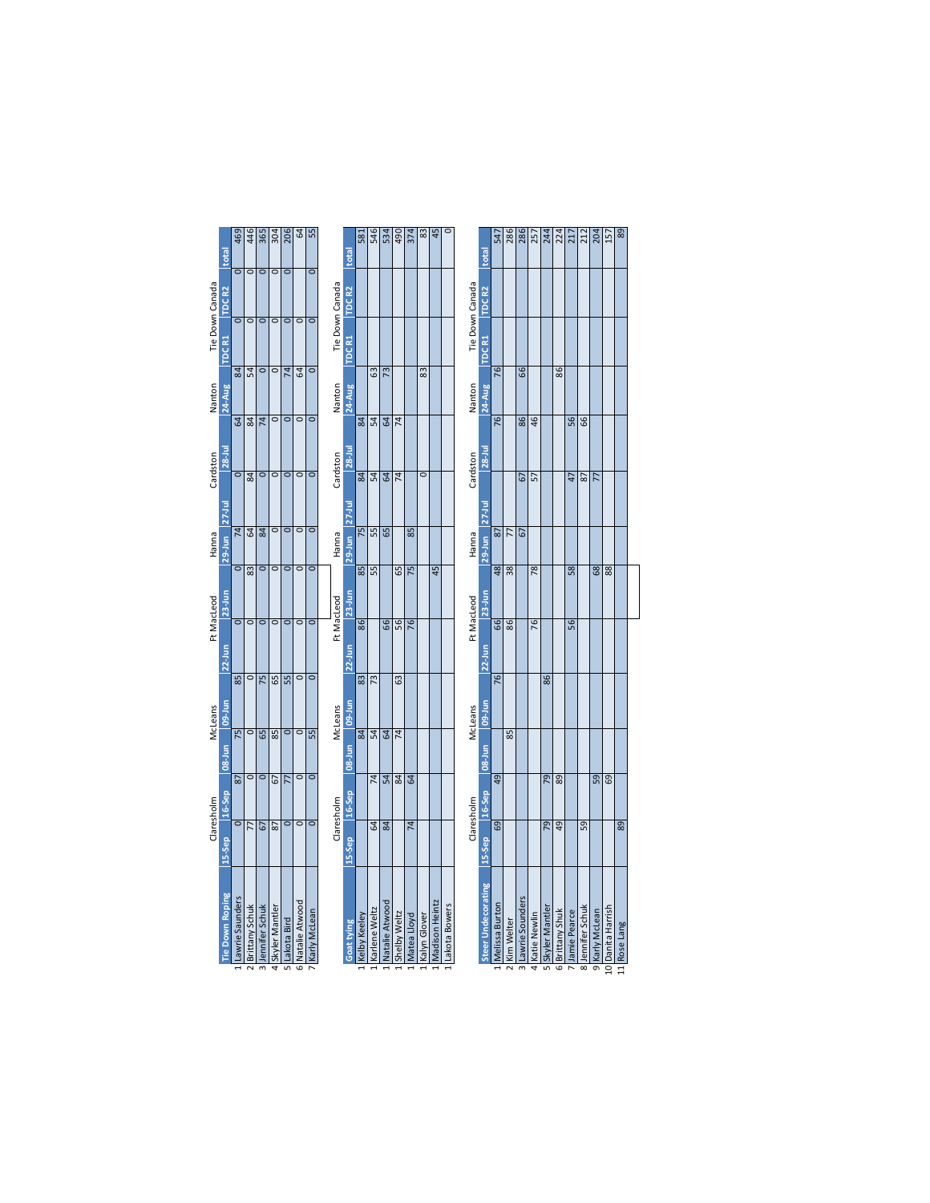|                       |                      | Claresholm           |                | McLeans |                 | Ft MacLeod         |                      | Hanna                |             | Cardston             |                    | Nanton   |                          | Tie Down Canada         |                   |
|-----------------------|----------------------|----------------------|----------------|---------|-----------------|--------------------|----------------------|----------------------|-------------|----------------------|--------------------|----------|--------------------------|-------------------------|-------------------|
| Tie Down Roping       | 15-Sep               | 16-Sep               | 08-Jun         | hn-60   | $22-$ Jun       |                    | $23 - Jun$           | $29$ -Jun            | $27-1$ ul   | $28 -$ Jul           | 24-Aug             |          | TDC <sub>R1</sub>        | TDC <sub>R2</sub>       | total             |
| Lawrie Saunders       | $\overline{\circ}$   | 87                   | $\overline{5}$ |         | $\overline{85}$ | $\overline{\circ}$ | $\overline{\circ}$   | $\overline{14}$      |             | $\overline{\circ}$   | $\overline{64}$    | 84       | ਠ                        | ਠ                       | 469               |
| <b>Brittany Schuk</b> | 77                   | O                    | $\circ$        |         | o               | $\overline{\circ}$ | 83                   | <b>S</b>             |             | 84                   | $\overline{a}$     | Ľ,       | $\overline{\phantom{a}}$ | ਰ                       | 446               |
| 3 Jennifer Schuk      | 67                   | $\overline{\bullet}$ | 65             |         | 75              | $\overline{\circ}$ | $\overline{\bullet}$ | 84                   |             | $\overline{\bullet}$ | $\overline{74}$    | $\circ$  | $\overline{\circ}$       | ᇹ                       |                   |
| 4 Skyler Mantler      | 87                   | 5                    | 85             |         | 65              | $\circ$            | $\circ$              | $\overline{\circ}$   |             | $\overline{\circ}$   | $\overline{\circ}$ | $\circ$  | $\circ$                  | $\overline{\circ}$      | $rac{365}{304}$   |
| 5 Lakota Bird         | $\circ$              | 77                   | $\circ$        |         | 55              | $\circ$            | $\overline{\bullet}$ | $\overline{\bullet}$ |             | $\overline{\circ}$   | $\overline{\circ}$ | 74       | $\overline{\circ}$       | $\overline{\mathsf{C}}$ | 206               |
| 6 Natalie Atwood      | O                    | O                    | $\circ$        |         | o               | $\overline{\circ}$ | $\circ$              | $\overline{\circ}$   |             | $\overline{\circ}$   | $\overline{\circ}$ | <b>S</b> | ਠ                        |                         | 의                 |
| Karly McLean          | $\overline{\bullet}$ | $\overline{\circ}$   | 55             |         | $\overline{0}$  | $\overline{\circ}$ | $\circ$              | $\overline{\bullet}$ |             | $\overline{\circ}$   | $\overline{\circ}$ | $\circ$  | $\overline{\circ}$       | ਠ                       | 55                |
|                       |                      | Claresholm           |                | McLeans |                 | Ft MacLeod         |                      | Hanna                |             | Cardston             |                    | Nanton   |                          | Tie Down Canada         |                   |
| <b>Goat tying</b>     | 15-Sep               | 16-Sep               | 08-Jun         | lup-1un | $22$ -Jun       |                    | $23$ -Jun            | $29-$ Jun            | $27-1$ ul   | 28-Jul               | $24$ -Aug          |          | TDC <sub>R1</sub>        | TDC <sub>R2</sub>       | total             |
| Kelby Keeley          |                      |                      | 84             |         | 83              | 86                 | 85                   | 75                   |             | $\overline{84}$      | $\overline{a}$     |          |                          |                         | $\frac{581}{2}$   |
| Karlene Weltz         | $\overline{64}$      | $\overline{74}$      | 54             |         | $\overline{73}$ |                    | 55                   | 55                   |             | 54                   | $\overline{54}$    | යි       |                          |                         |                   |
| Natalie Atwood        | $\overline{a}$       | 54                   | 64             |         |                 | $\overline{6}$     |                      | $\overline{5}$       |             | $\overline{5}$       | $\overline{54}$    | 73       |                          |                         | 546<br>534        |
| Shelby Weltz          |                      | 84                   | $\overline{7}$ |         | G3              | 56                 | 65                   |                      |             | $\overline{7}$       | $\overline{4}$     |          |                          |                         |                   |
| Matea Lloyd           | $\overline{7}$       | 64                   |                |         |                 | 76                 | 75                   | 85                   |             |                      |                    |          |                          |                         | $rac{490}{374}$   |
| Kalyn Glover          |                      |                      |                |         |                 |                    |                      |                      |             | $\overline{\circ}$   |                    | 83       |                          |                         | 83                |
| Madison Heintz        |                      |                      |                |         |                 |                    | 45                   |                      |             |                      |                    |          |                          |                         | 45                |
| 1 Lakota Bowers       |                      |                      |                |         |                 |                    |                      |                      |             |                      |                    |          |                          |                         |                   |
|                       |                      | Claresholm           |                | McLeans |                 | Ft MacLeod         |                      | Hanna                |             | Cardston             |                    |          |                          | Tie Down Canada         |                   |
|                       |                      |                      |                |         |                 |                    |                      |                      |             |                      | Nanton             |          |                          |                         |                   |
| Steer Undecorating    | 15-Sep               | 16-Sep               | 08-Jun         | lup[-60 | $22$ -Jun       |                    | $23$ -Jun            | $29-$ Jun            | $27 - 1$ ul | $28 -$ Jul           | $24$ -Aug          |          | TDC <sub>R1</sub>        | TDC <sub>R2</sub>       | total             |
| Melissa Burton        | $\overline{69}$      | $\overline{6}$       |                |         | 76              | 66                 | 48                   | 28                   |             |                      | 76                 | 76       |                          |                         | 547               |
| Kim Welter            |                      |                      | 85             |         |                 | 86                 | $\overline{38}$      | 77                   |             |                      |                    |          |                          |                         | 286               |
| 3 Lawrie Sounders     |                      |                      |                |         |                 |                    |                      | 5                    |             | 67                   | 86                 | 99       |                          |                         | 286               |
| 4 Katie Newlin        |                      |                      |                |         |                 | 76                 | 78                   |                      |             | 57                   | 46                 |          |                          |                         |                   |
| 5 Skyler Mantler      | 79                   | 79                   |                |         | 86              |                    |                      |                      |             |                      |                    |          |                          |                         | $\frac{257}{244}$ |
| 6 Brittany Shuk       | $\overline{49}$      | 89                   |                |         |                 |                    |                      |                      |             |                      |                    | 86       |                          |                         | 224               |
| 7 Jamie Pearce        |                      |                      |                |         |                 | 56                 | 58                   |                      |             | 47                   | $\overline{56}$    |          |                          |                         | 217               |
| 8 Jennifer Schuk      | 59                   |                      |                |         |                 |                    |                      |                      |             | 87                   | $\overline{6}$     |          |                          |                         | $\frac{212}{204}$ |
| 9 Karly McLean        |                      | $\overline{59}$      |                |         |                 |                    | 68                   |                      |             | 77                   |                    |          |                          |                         |                   |
| LO Danita Harrish     |                      | $\overline{69}$      |                |         |                 |                    | 88                   |                      |             |                      |                    |          |                          |                         | 157               |
| 11 Rose Lang          | $\overline{89}$      |                      |                |         |                 |                    |                      |                      |             |                      |                    |          |                          |                         |                   |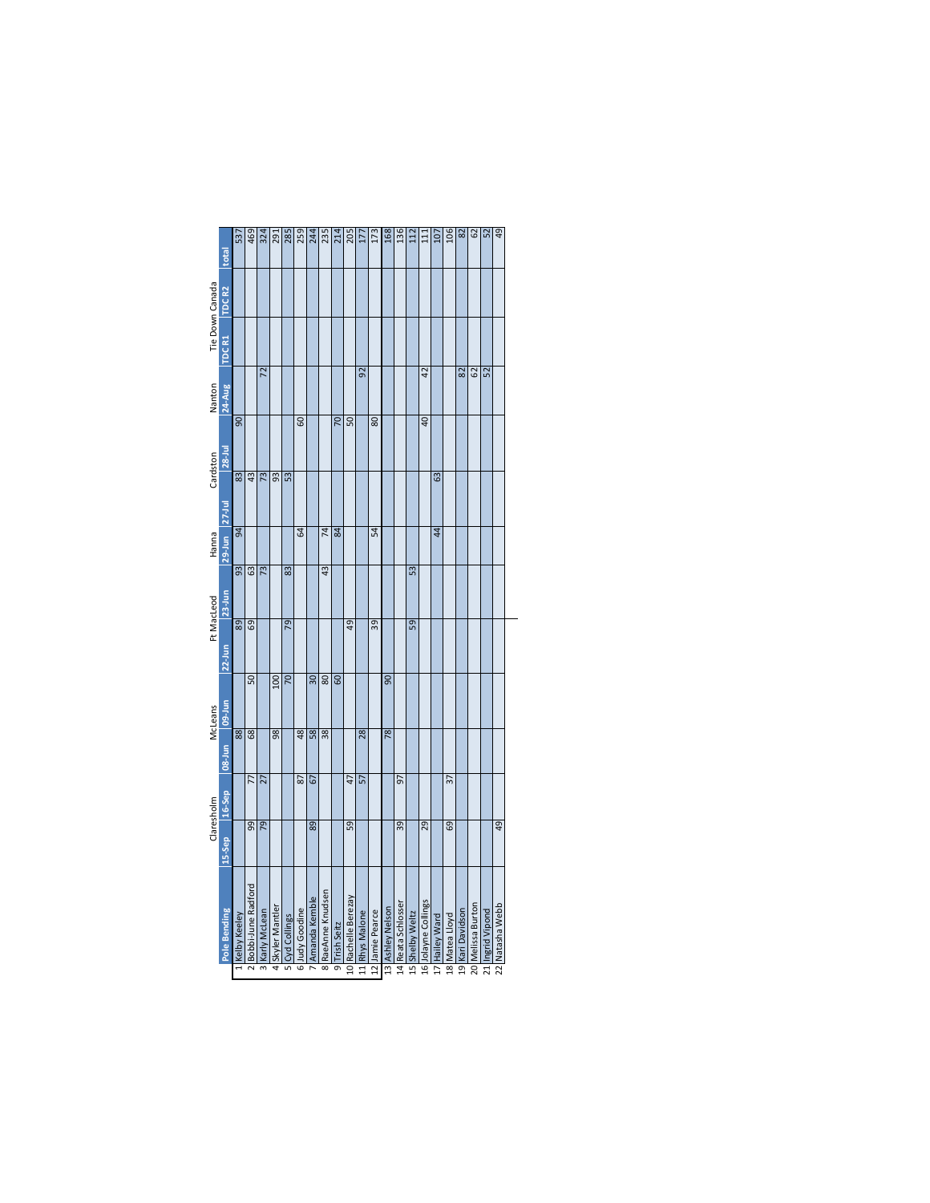|                 | total             | 537                    | 469                | 324                                     | 291            |                   | 285               | 244             | 235                                    | 214            | 205                 | 177             | 173             | 168              | 136                | 112             | 111                 | 107            | 106             | 82               | 62                | 2                                | 49              |
|-----------------|-------------------|------------------------|--------------------|-----------------------------------------|----------------|-------------------|-------------------|-----------------|----------------------------------------|----------------|---------------------|-----------------|-----------------|------------------|--------------------|-----------------|---------------------|----------------|-----------------|------------------|-------------------|----------------------------------|-----------------|
|                 | TDC <sub>R2</sub> |                        |                    |                                         |                |                   |                   |                 |                                        |                |                     |                 |                 |                  |                    |                 |                     |                |                 |                  |                   |                                  |                 |
| Tie Down Canada | TDC <sub>R1</sub> |                        |                    |                                         |                |                   |                   |                 |                                        |                |                     |                 |                 |                  |                    |                 |                     |                |                 |                  |                   |                                  |                 |
| Nanton          | 24-Aug            |                        |                    | $\overline{z}$                          |                |                   |                   |                 |                                        |                |                     | 92              |                 |                  |                    |                 | $\overline{a}$      |                |                 | 82               | $\overline{62}$   | <u>នៃ</u>                        |                 |
| Cardston        | $28 -$ Jul        | $\overline{5}$         |                    |                                         |                |                   | 60                |                 |                                        | 20             | $\overline{50}$     |                 | $\overline{80}$ |                  |                    |                 | $\overline{q}$      |                |                 |                  |                   |                                  |                 |
|                 | $27 - 1$ ul       | $\overline{83}$        | 43                 | $\overline{73}$                         | 93             | 53                |                   |                 |                                        |                |                     |                 |                 |                  |                    |                 |                     | යි             |                 |                  |                   |                                  |                 |
| Hanna           | $29-$ Jun         | æ                      |                    |                                         |                |                   | $\overline{a}$    |                 | $\overline{74}$                        | $\overline{a}$ |                     |                 | R               |                  |                    |                 |                     | $\overline{4}$ |                 |                  |                   |                                  |                 |
| Ft MacLeod      | $23$ -Jun         |                        | $\frac{3}{63}$     | $\sqrt{73}$                             |                | 83                |                   |                 | 43                                     |                |                     |                 |                 |                  |                    | 53              |                     |                |                 |                  |                   |                                  |                 |
|                 | $22$ -Jun         | $\overline{89}$        | $\overline{69}$    |                                         |                | 79                |                   |                 |                                        |                | $\overline{q}$      |                 | $\overline{39}$ |                  |                    | 59              |                     |                |                 |                  |                   |                                  |                 |
| McLeans         | 09-Jun            |                        | 50                 |                                         | 100            | $\overline{50}$   |                   | 30 <sub>2</sub> | $\overline{80}$                        | <b>GO</b>      |                     |                 |                 | 90               |                    |                 |                     |                |                 |                  |                   |                                  |                 |
|                 | 08-Jun            | $\overline{\text{88}}$ | 68                 |                                         | 98             |                   | 48                | 58              | $\overline{38}$                        |                |                     | $\overline{28}$ |                 | $\overline{78}$  |                    |                 |                     |                |                 |                  |                   |                                  |                 |
|                 | 16-Sep            |                        | $\overline{7}$     | $\overline{27}$                         |                |                   | 2                 | 67              |                                        |                | 47                  | 57              |                 |                  | 57                 |                 |                     |                | 37              |                  |                   |                                  |                 |
| Claresholm      | 15-Sep            |                        | $\overline{9}$     | $\overline{5}$                          |                |                   |                   | 89              |                                        |                | 59                  |                 |                 |                  | 39                 |                 | $\overline{29}$     |                | $\overline{69}$ |                  |                   |                                  | $\overline{6}$  |
|                 | Pole Bending      | Kelby Keeley           | Bobbi-June Radford | Karly McLean<br>$\overline{\mathbb{E}}$ | Skyler Mantler | Cyd Collings<br>5 | Judy Goodine<br>6 | Amanda Kemble   | RaeAnne Knudsen<br>$\overline{\infty}$ | 9 Trish Seitz  | 10 Rachelle Berezay | 11 Rhys Malone  | 12 Jamie Pearce | 13 Ashley Nelson | 14 Reata Schlosser | 15 Shelby Weltz | 16 Jolayne Collings | 17 Hailey Ward | 18 Matea Lloyd  | 19 Kari Davidson | 20 Melissa Burton | Ingrid Vipond<br>$\overline{11}$ | 22 Natasha Webb |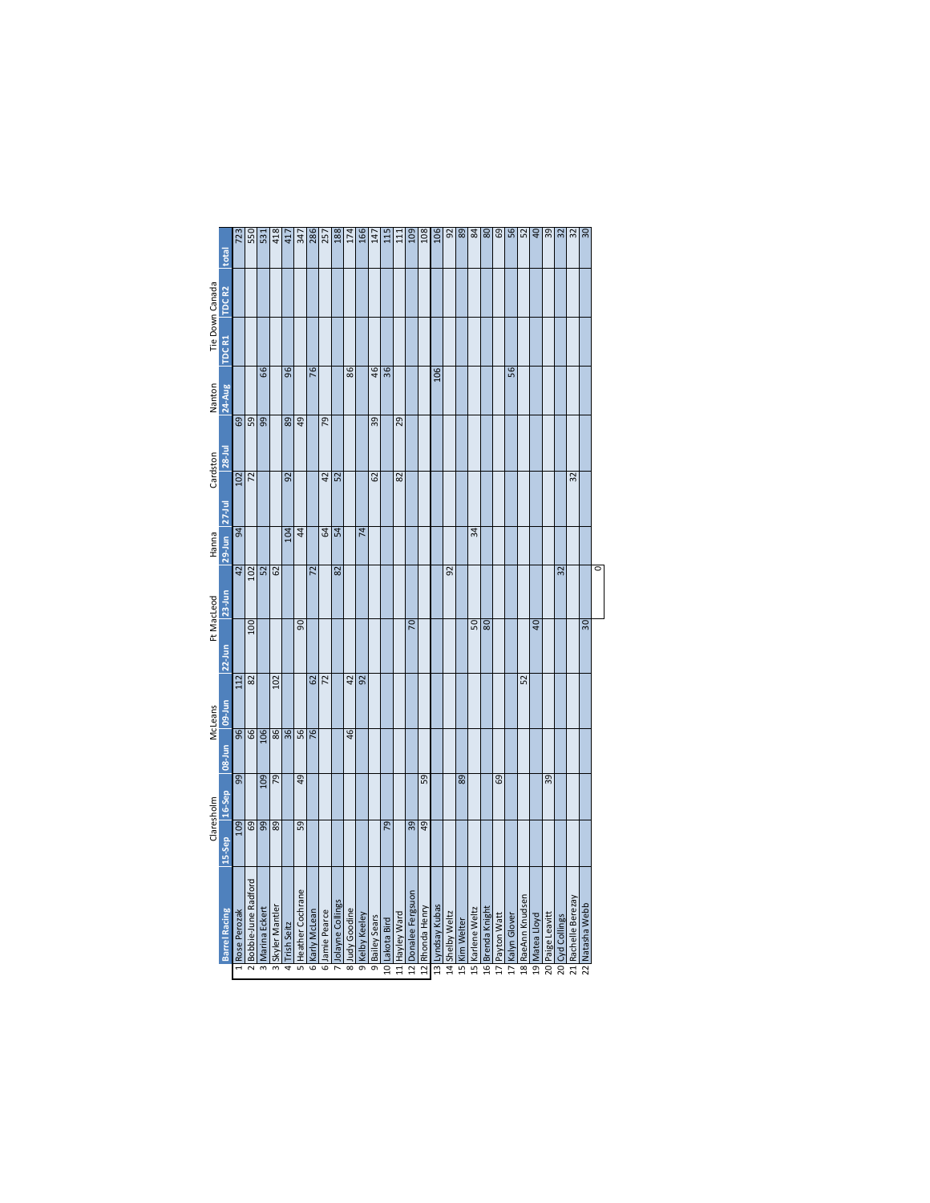|                 | total                         | 723             | 550                 | 531              | 418             | 417             | $\frac{347}{286}$     |                   | 257               | 188              | 174             | 166             | 147             | 115             | 111            | 109                 | 108             | 106              | $rac{92}{89}$   |               | 84               | 80               | 69             | $\frac{56}{52}$ |                   | $\overline{a}$ | $\frac{39}{2}$   | 32              | 32                  | 30              |   |
|-----------------|-------------------------------|-----------------|---------------------|------------------|-----------------|-----------------|-----------------------|-------------------|-------------------|------------------|-----------------|-----------------|-----------------|-----------------|----------------|---------------------|-----------------|------------------|-----------------|---------------|------------------|------------------|----------------|-----------------|-------------------|----------------|------------------|-----------------|---------------------|-----------------|---|
|                 | TDC <sub>R2</sub>             |                 |                     |                  |                 |                 |                       |                   |                   |                  |                 |                 |                 |                 |                |                     |                 |                  |                 |               |                  |                  |                |                 |                   |                |                  |                 |                     |                 |   |
| Tie Down Canada | TDC R1                        |                 |                     |                  |                 |                 |                       |                   |                   |                  |                 |                 |                 |                 |                |                     |                 |                  |                 |               |                  |                  |                |                 |                   |                |                  |                 |                     |                 |   |
| Nanton          | 24-Aug                        |                 |                     | 66               |                 | $\overline{96}$ |                       | $\overline{16}$   |                   |                  | 86              |                 | $\overline{46}$ | $\overline{36}$ |                |                     |                 | $\frac{106}{ }$  |                 |               |                  |                  |                | 56              |                   |                |                  |                 |                     |                 |   |
|                 | $28 -$ Jul                    | 69              | $\overline{59}$     | 99               |                 | 89              | 49                    |                   | 54                |                  |                 |                 | 39              |                 | 29             |                     |                 |                  |                 |               |                  |                  |                |                 |                   |                |                  |                 |                     |                 |   |
| Cardston        |                               | 102             | $\overline{z}$      |                  |                 | 92              |                       |                   | $\overline{a}$    | 52               |                 |                 | 62              |                 | 82             |                     |                 |                  |                 |               |                  |                  |                |                 |                   |                |                  |                 | 32                  |                 |   |
| Hanna           | 29-Jun 27-Jul                 | æ               |                     |                  |                 | 104             | $\ddot{a}$            |                   | <b>Z</b>          | 54               |                 | $\overline{7}$  |                 |                 |                |                     |                 |                  |                 |               | 34               |                  |                |                 |                   |                |                  |                 |                     |                 |   |
|                 | $23 - Jun$                    | $\overline{42}$ | 102                 | 52               | 62              |                 |                       | 72                |                   | 82               |                 |                 |                 |                 |                |                     |                 |                  | 92              |               |                  |                  |                |                 |                   |                |                  | 32              |                     |                 | c |
| Ft MacLeod      | $22$ -Jun                     |                 | 100                 |                  |                 |                 | ႙                     |                   |                   |                  |                 |                 |                 |                 |                | 20                  |                 |                  |                 |               | 50               | 80               |                |                 |                   | $\overline{a}$ |                  |                 |                     | 30              |   |
|                 |                               | 112             | $\overline{82}$     |                  | 102             |                 |                       | 62                | $\overline{z}$    |                  | $\overline{42}$ | $\overline{56}$ |                 |                 |                |                     |                 |                  |                 |               |                  |                  |                |                 | 52                |                |                  |                 |                     |                 |   |
| McLeans         | <b>log-Jun</b><br>$08 - 1$ un | $\overline{96}$ | 66                  | 106              | 86              | $\overline{36}$ | 56                    | 76                |                   |                  | 46              |                 |                 |                 |                |                     |                 |                  |                 |               |                  |                  |                |                 |                   |                |                  |                 |                     |                 |   |
|                 | 16-Sep                        | 99              |                     | $\overline{109}$ | 79              |                 | $\overline{5}$        |                   |                   |                  |                 |                 |                 |                 |                |                     | 59              |                  |                 | 89            |                  |                  | 69             |                 |                   |                | $\overline{39}$  |                 |                     |                 |   |
| Claresholm      | 15-Sep                        | 109             | $\overline{69}$     | 99               | $\overline{89}$ |                 | 59                    |                   |                   |                  |                 |                 |                 | $\overline{56}$ |                | 39                  | $\overline{6}$  |                  |                 |               |                  |                  |                |                 |                   |                |                  |                 |                     |                 |   |
|                 | <b>Barrel Racing</b>          | Rose Perozak    | Bobbie-June Radford | Marina Eckert    | Skyler Mantler  | Trish Seitz     | Heather Cochrane<br>ᇚ | Karly McLean<br>6 | Jamie Pearce<br>6 | Jolayne Collings | 8 Judy Goodine  | 9 Kelby Keeley  | 9 Bailey Sears  | 10 Lakota Bird  | 11 Hayley Ward | 12 Donalee Fergsuon | 12 Rhonda Henry | 13 Lyndsay Kubas | 14 Shelby Weltz | 15 Kim Welter | 15 Karlene Weltz | 16 Brenda Knight | 17 Payton Watt | 17 Kalyn Glover | 18 RaeAnn Knudsen | 19 Matea Lloyd | 20 Paige Leavitt | 20 Cyd Collings | 21 Rachelle Berezay | 22 Natasha Webb |   |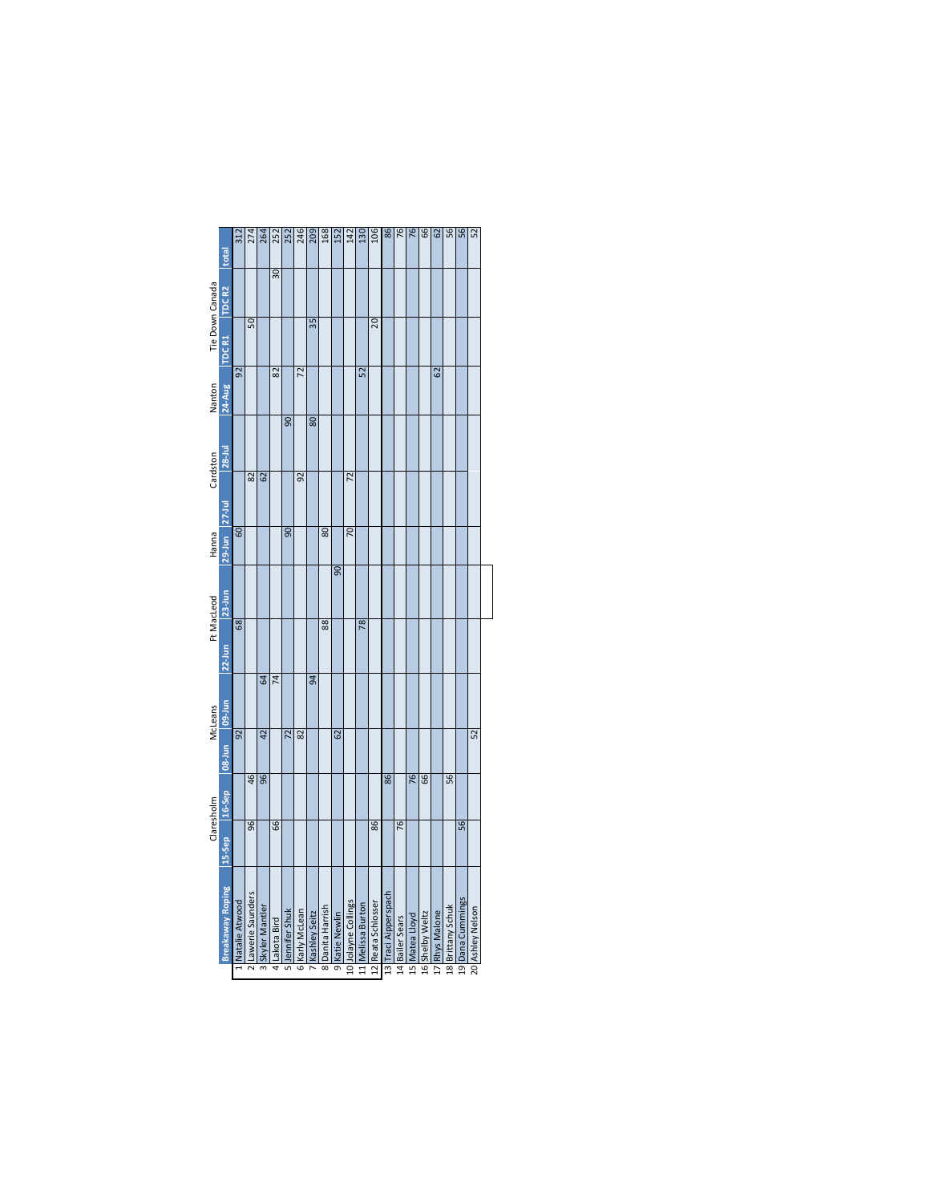|                 | total                   | 312              | 274                | 264              | 252            | 252             | 246             | 209            | 168              | 152            | 142                 | 130               | 106                | 86                   | 76              | 76             | $\overline{6}$  | 62             | 56                | 56               | 52               |
|-----------------|-------------------------|------------------|--------------------|------------------|----------------|-----------------|-----------------|----------------|------------------|----------------|---------------------|-------------------|--------------------|----------------------|-----------------|----------------|-----------------|----------------|-------------------|------------------|------------------|
|                 | TDC <sub>R2</sub>       |                  |                    |                  | 30             |                 |                 |                |                  |                |                     |                   |                    |                      |                 |                |                 |                |                   |                  |                  |
| Tie Down Canada | TDC R1                  |                  | 50                 |                  |                |                 |                 | 35             |                  |                |                     |                   | 20                 |                      |                 |                |                 |                |                   |                  |                  |
| Nanton          | 24-Aug                  | $\overline{52}$  |                    |                  | 82             |                 | 72              |                |                  |                |                     | 52                |                    |                      |                 |                |                 | G2             |                   |                  |                  |
|                 | $28 -$ Jul              |                  |                    |                  |                | $\overline{90}$ |                 | 80             |                  |                |                     |                   |                    |                      |                 |                |                 |                |                   |                  |                  |
| Cardston        |                         |                  | 82                 | 62               |                |                 | 92              |                |                  |                | 72                  |                   |                    |                      |                 |                |                 |                |                   |                  |                  |
| Hanna           | 29-Jun 27-Jul           | $\overline{5}$   |                    |                  |                | Ձ               |                 |                | 80               |                | 5                   |                   |                    |                      |                 |                |                 |                |                   |                  |                  |
|                 | 23-Jun                  |                  |                    |                  |                |                 |                 |                |                  | 90             |                     |                   |                    |                      |                 |                |                 |                |                   |                  |                  |
| Ft MacLeod      | $22-1un$                | $\overline{68}$  |                    |                  |                |                 |                 |                | $\overline{88}$  |                |                     | $\overline{78}$   |                    |                      |                 |                |                 |                |                   |                  |                  |
|                 |                         |                  |                    | 3                | $\overline{7}$ |                 |                 | $\overline{a}$ |                  |                |                     |                   |                    |                      |                 |                |                 |                |                   |                  |                  |
| McLeans         | mu-60 mu-80             | $\overline{92}$  |                    | $\overline{42}$  |                | $\overline{2}$  | $\overline{82}$ |                |                  | 62             |                     |                   |                    |                      |                 |                |                 |                |                   |                  | $\overline{5}$   |
|                 | 16-Sep                  |                  | 46                 | $\overline{96}$  |                |                 |                 |                |                  |                |                     |                   |                    | 86                   |                 | 76             | 66              |                | 56                |                  |                  |
| Claresholm      | 15-Sep                  |                  | $\overline{96}$    |                  | 66             |                 |                 |                |                  |                |                     |                   | 86                 |                      | 76              |                |                 |                |                   | 56               |                  |
|                 | <b>Breakaway Roping</b> | 1 Natalie Atwood | 2 Lawerie Saunders | 3 Skyler Mantler | 4 Lakota Bird  | 5 Jennifer Shuk | 6 Karly McLean  | Kashley Seitz  | 8 Danita Harrish | 9 Katie Newlin | 10 Jolayne Collings | 11 Melissa Burton | 12 Reata Schlosser | 13 Traci Aipperspach | 14 Bailer Sears | 15 Matea Lloyd | 16 Shelby Weltz | 17 Rhys Malone | 18 Brittany Schuk | 19 Dana Cummings | 20 Ashley Nelson |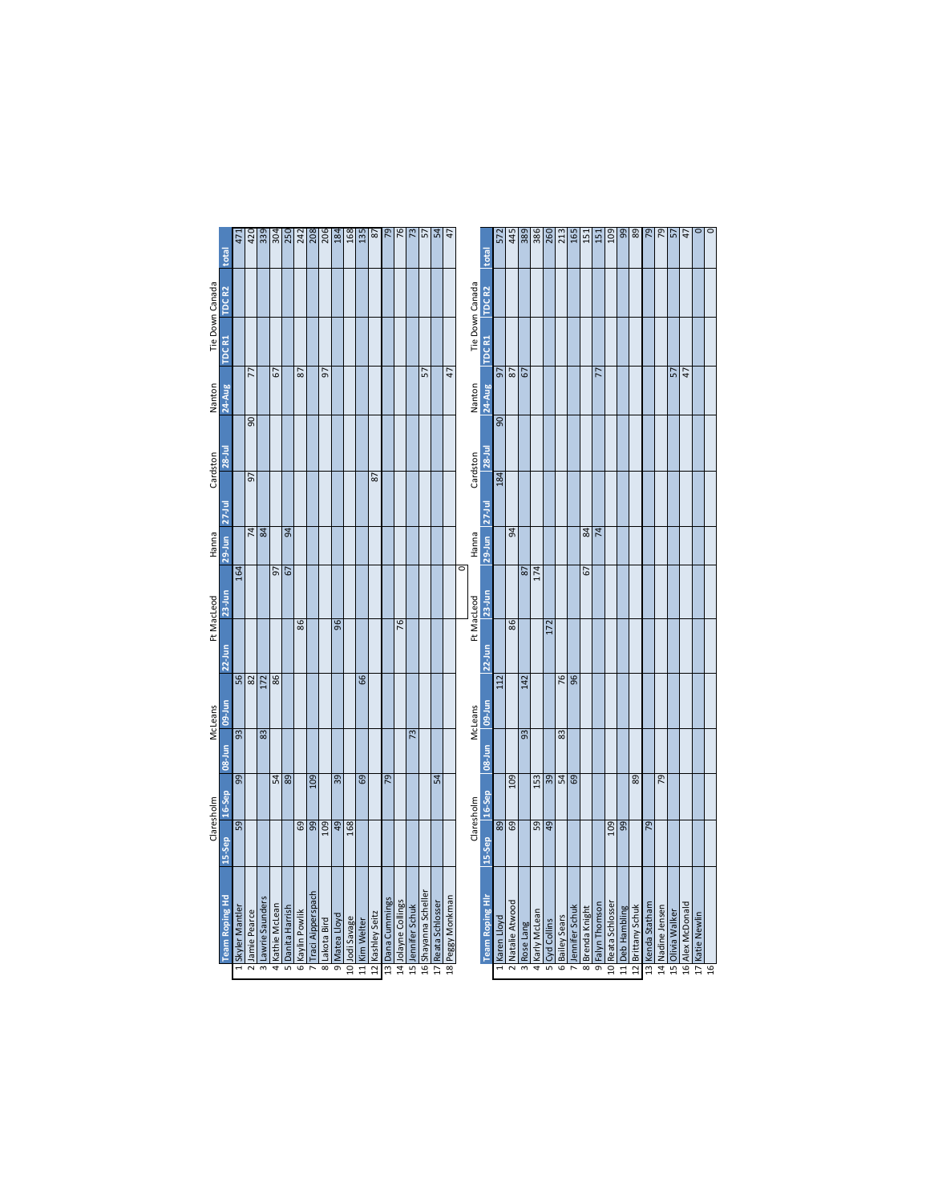|                         |                        |                  | Claresholm      |        | McLeans         |           | Ft MacLeod | Hanna            |                   | Cardston       | Nanton           |                 | Tie Down Canada   |                                                                                                                                                                           |
|-------------------------|------------------------|------------------|-----------------|--------|-----------------|-----------|------------|------------------|-------------------|----------------|------------------|-----------------|-------------------|---------------------------------------------------------------------------------------------------------------------------------------------------------------------------|
|                         | <b>Team Roping Hd</b>  | 15-Sep           | 16-Sep          | 08-Jun | 09-Jun          | $22$ -Jun | $23-1$ un  | $29$ -Jun        | $27-1$ ul         | $28 -$ Jul     | <b>24-Aug</b>    | TDC R1          | TDC <sub>R2</sub> | total                                                                                                                                                                     |
|                         | Skyler Mantler         | 59               | $\overline{99}$ | 93     |                 |           | 164        |                  |                   |                |                  |                 |                   | 471                                                                                                                                                                       |
| $\overline{\mathsf{c}}$ | Jamie Pearce           |                  |                 |        | $\frac{56}{82}$ |           |            |                  | 5                 | $\overline{5}$ | 77               |                 |                   |                                                                                                                                                                           |
| $\overline{m}$          | Lawrie Saunders        |                  |                 | 83     | 172             |           |            | $\frac{74}{84}$  |                   |                |                  |                 |                   | $rac{2}{3}$ $rac{2}{3}$ $rac{2}{3}$ $rac{2}{3}$ $rac{2}{3}$ $rac{2}{3}$ $rac{2}{3}$ $rac{2}{3}$ $rac{2}{3}$ $rac{2}{3}$ $rac{2}{3}$                                       |
|                         | Kathie McLean          |                  |                 |        | 86              |           | 57         |                  |                   |                | 5                |                 |                   |                                                                                                                                                                           |
|                         | Danita Harrish         |                  | $rac{4}{89}$    |        |                 |           | 67         | $\mathfrak{g}$   |                   |                |                  |                 |                   |                                                                                                                                                                           |
| 5                       | Kaylin Powlik          | $\overline{69}$  |                 |        |                 | 86        |            |                  |                   |                | 2                |                 |                   |                                                                                                                                                                           |
|                         | Traci Aipperspach      | 66               | 601             |        |                 |           |            |                  |                   |                |                  |                 |                   |                                                                                                                                                                           |
|                         | 8 Lakota Bird          | 109              |                 |        |                 |           |            |                  |                   |                | 5                |                 |                   |                                                                                                                                                                           |
| न्र                     | Matea Lloyd            | $\overline{q}$   | $\overline{39}$ |        |                 | 96        |            |                  |                   |                |                  |                 |                   |                                                                                                                                                                           |
|                         | 10 Jodi Savage         | 168              |                 |        |                 |           |            |                  |                   |                |                  |                 |                   |                                                                                                                                                                           |
|                         | 11 Kim Welter          |                  | 69              |        | $\overline{6}$  |           |            |                  |                   |                |                  |                 |                   | $\overline{135}$                                                                                                                                                          |
|                         | 12 Kashley Seitz       |                  |                 |        |                 |           |            |                  | 87                |                |                  |                 |                   | 87                                                                                                                                                                        |
| $\frac{1}{3}$           | Dana Cummings          |                  | $\overline{52}$ |        |                 |           |            |                  |                   |                |                  |                 |                   |                                                                                                                                                                           |
|                         | 14 Jolayne Collings    |                  |                 |        |                 | 76        |            |                  |                   |                |                  |                 |                   | $\frac{5}{16}$                                                                                                                                                            |
|                         | 15 Jennifer Schuk      |                  |                 | 73     |                 |           |            |                  |                   |                |                  |                 |                   |                                                                                                                                                                           |
|                         | 16 Shayanna Scheller   |                  |                 |        |                 |           |            |                  |                   |                | 57               |                 |                   | $\frac{23}{57}$                                                                                                                                                           |
|                         | 17 Reata Schlosser     |                  | $\overline{54}$ |        |                 |           |            |                  |                   |                |                  |                 |                   | 54                                                                                                                                                                        |
|                         | 18 Peggy Monkman       |                  |                 |        |                 |           |            |                  |                   |                | $\overline{47}$  |                 |                   | 47                                                                                                                                                                        |
|                         |                        |                  |                 |        |                 |           | C          |                  |                   |                |                  |                 |                   |                                                                                                                                                                           |
|                         |                        |                  | Claresholm      |        | McLeans         |           | Ft MacLeod | Hanna            |                   | Cardston       | Nanton           | Tie Down Canada |                   |                                                                                                                                                                           |
|                         | <b>Team Roping HIr</b> | 15-Sep           | 16-Sep          | 08-Jun | <b>OD-Jun</b>   | $22$ -Jun | $23-$ Jun  | $29-$ Jun        | $27 - \text{Jul}$ | $28 -$ Jul     | 24-Aug           | TDC R1          | TDC <sub>R2</sub> | total                                                                                                                                                                     |
|                         | Karen Lloyd            | $\overline{89}$  |                 |        | 112             |           |            |                  | 184               | $\overline{5}$ | 50               |                 |                   | 572                                                                                                                                                                       |
| $\overline{\mathsf{r}}$ | Natalie Atwood         | 69               | 109             |        |                 | 86        |            | æ                |                   |                | $\sqrt{8}$       |                 |                   |                                                                                                                                                                           |
| $\overline{m}$          | Rose Lang              |                  |                 | 93     | 142             |           | 87         |                  |                   |                | $\overline{67}$  |                 |                   | $\frac{4}{8}$ $\frac{1}{8}$ $\frac{1}{8}$ $\frac{1}{8}$ $\frac{1}{8}$ $\frac{1}{12}$ $\frac{1}{2}$ $\frac{1}{12}$ $\frac{1}{2}$ $\frac{1}{2}$ $\frac{1}{2}$ $\frac{1}{2}$ |
| 4                       | Karly McLean           | 59               | 153             |        |                 |           | 174        |                  |                   |                |                  |                 |                   |                                                                                                                                                                           |
|                         | Cyd Collins            | 6 <sup>b</sup>   | $\overline{39}$ |        |                 | 172       |            |                  |                   |                |                  |                 |                   |                                                                                                                                                                           |
| 6                       | Bailey Sears           |                  | न्धि            | 83     | 76              |           |            |                  |                   |                |                  |                 |                   |                                                                                                                                                                           |
|                         | Jennifer Schuk         |                  | 69              |        | $\overline{96}$ |           |            |                  |                   |                |                  |                 |                   |                                                                                                                                                                           |
| $\overline{\infty}$     | Brenda Knight          |                  |                 |        |                 |           | 5          | $\boldsymbol{g}$ |                   |                |                  |                 |                   |                                                                                                                                                                           |
| $\overline{\sigma}$     | Falyn Thomson          |                  |                 |        |                 |           |            | $\overline{74}$  |                   |                | 77               |                 |                   |                                                                                                                                                                           |
|                         | 10 Reata Schlosser     | $\overline{109}$ |                 |        |                 |           |            |                  |                   |                |                  |                 |                   |                                                                                                                                                                           |
|                         | 11 Deb Hambling        | 99               |                 |        |                 |           |            |                  |                   |                |                  |                 |                   | $\frac{88}{89}$                                                                                                                                                           |
|                         | 12 Brittany Schuk      |                  | $\overline{89}$ |        |                 |           |            |                  |                   |                |                  |                 |                   |                                                                                                                                                                           |
|                         | 13 Kenda Statham       | 79               |                 |        |                 |           |            |                  |                   |                |                  |                 |                   | 64                                                                                                                                                                        |
|                         | 14 Nadine Jensen       |                  | $\overline{56}$ |        |                 |           |            |                  |                   |                |                  |                 |                   | $\overline{57}$                                                                                                                                                           |
|                         | 15 Olivia Walker       |                  |                 |        |                 |           |            |                  |                   |                | 57               |                 |                   | 57                                                                                                                                                                        |
|                         | 16 Alex McDonald       |                  |                 |        |                 |           |            |                  |                   |                | $ 4\overline{1}$ |                 |                   | $\overline{4}$                                                                                                                                                            |
|                         | Katie Newlin           |                  |                 |        |                 |           |            |                  |                   |                |                  |                 |                   |                                                                                                                                                                           |
|                         |                        |                  |                 |        |                 |           |            |                  |                   |                |                  |                 |                   | नव                                                                                                                                                                        |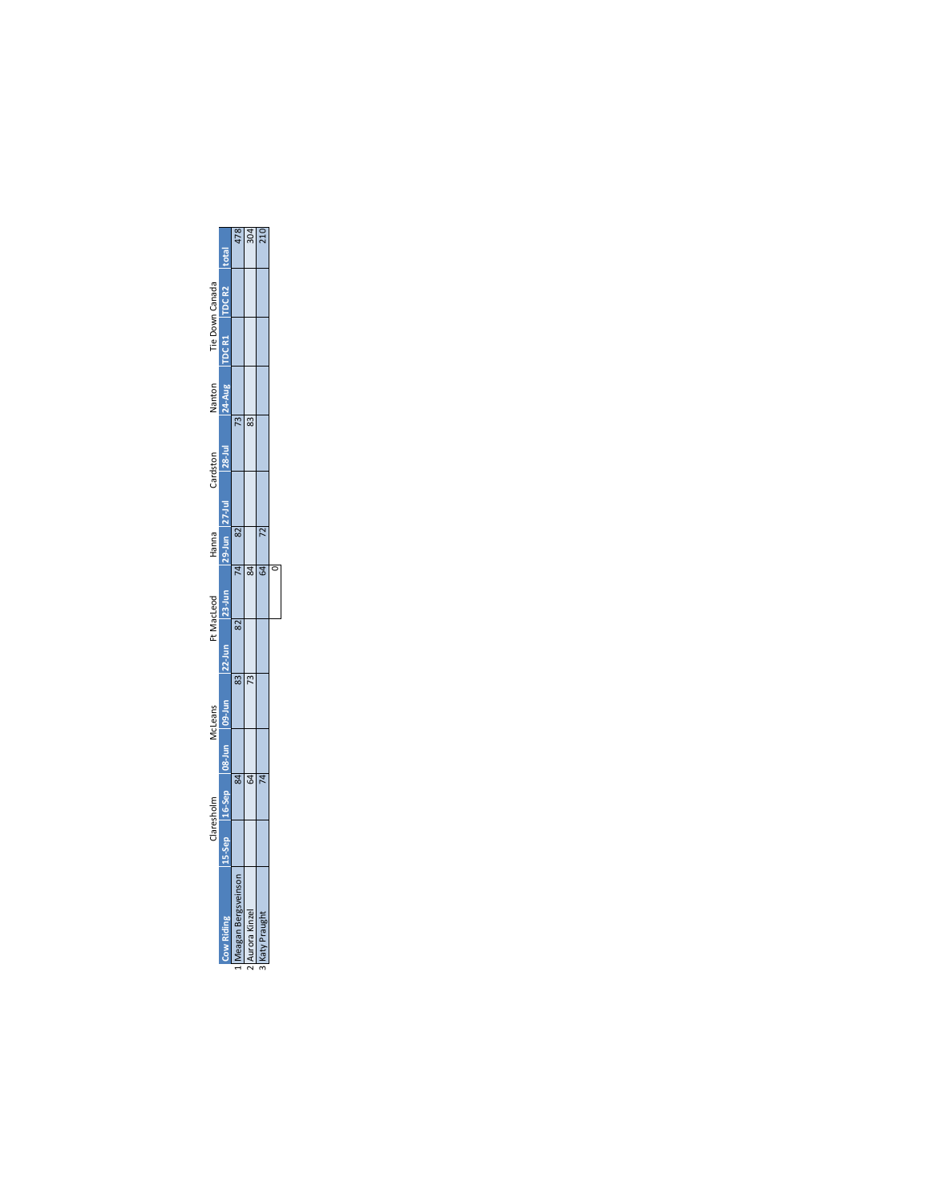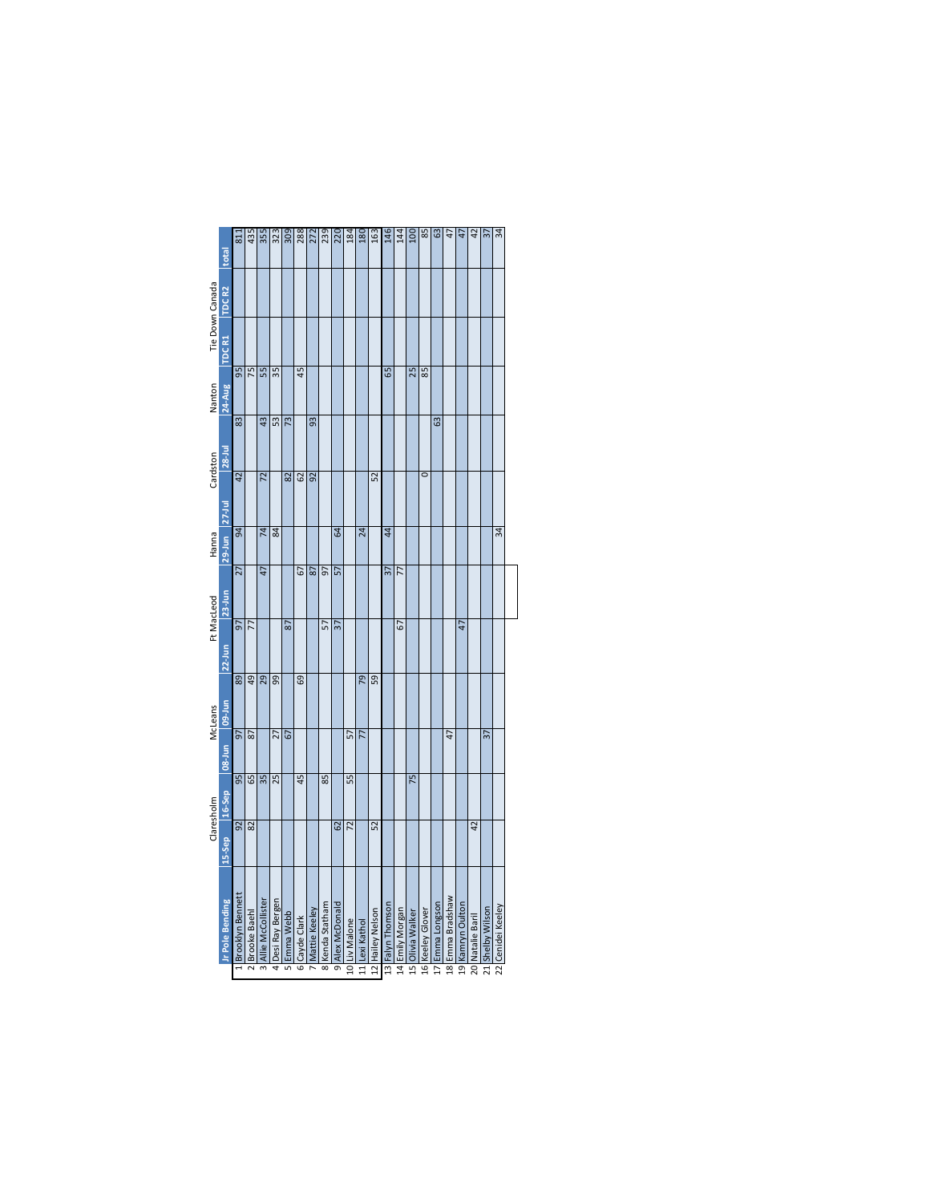|                 | <b>total</b>                | 811              | 435             | 355               | 323               | 309         | 288           | 272           | 239             | 220             | 184           | 180            | 163              | 146              | 144             | 100              | 85               | 63              | 47               |                  | $\overline{a}$   |                  | 34                |
|-----------------|-----------------------------|------------------|-----------------|-------------------|-------------------|-------------|---------------|---------------|-----------------|-----------------|---------------|----------------|------------------|------------------|-----------------|------------------|------------------|-----------------|------------------|------------------|------------------|------------------|-------------------|
| Tie Down Canada | TDC <sub>R2</sub>           |                  |                 |                   |                   |             |               |               |                 |                 |               |                |                  |                  |                 |                  |                  |                 |                  |                  |                  |                  |                   |
|                 | TDCR1                       |                  |                 |                   |                   |             |               |               |                 |                 |               |                |                  |                  |                 |                  |                  |                 |                  |                  |                  |                  |                   |
| Nanton          | <b>24-Aug</b>               | $\overline{95}$  | $\overline{75}$ | 55                | $\overline{35}$   |             | 45            |               |                 |                 |               |                |                  | 65               |                 | 25               | 85               |                 |                  |                  |                  |                  |                   |
|                 | $28 -$ Jul                  | $\overline{3}$   |                 | 4 <sup>3</sup>    | 53                | 73          |               | 93            |                 |                 |               |                |                  |                  |                 |                  |                  | $\overline{63}$ |                  |                  |                  |                  |                   |
| Cardston        |                             | 12               |                 | 72                |                   | 82          | 62            | 92            |                 |                 |               |                | 52               |                  |                 |                  | 0                |                 |                  |                  |                  |                  |                   |
| Hanna           | $29 - Jun$ 27-Jul           | $\overline{a}$   |                 | $\overline{7}$    | 84                |             |               |               |                 | Z4              |               | 24             |                  | $\ddot{a}$       |                 |                  |                  |                 |                  |                  |                  |                  | 34                |
|                 | 23-Jun                      | $\overline{27}$  |                 | 47                |                   |             | 57            | 87            | 57              | 57              |               |                |                  | $\overline{37}$  | $\overline{7}$  |                  |                  |                 |                  |                  |                  |                  |                   |
| Ft MacLeod      | 22-Jun                      | $\overline{5}$   | $\overline{7}$  |                   |                   | 87          |               |               | 57              | $\overline{37}$ |               |                |                  |                  | 67              |                  |                  |                 |                  | $\overline{1}$   |                  |                  |                   |
|                 |                             | $\overline{89}$  | $\overline{49}$ | 29                | 99                |             | 69            |               |                 |                 |               | 54             | 59               |                  |                 |                  |                  |                 |                  |                  |                  |                  |                   |
| McLeans         |                             | $\overline{5}$   | $\overline{87}$ |                   | 27                | 67          |               |               |                 |                 | 57            | 77             |                  |                  |                 |                  |                  |                 | 47               |                  |                  | 57               |                   |
|                 |                             | $\overline{95}$  | 65              | 35                | 25                |             | 45            |               | 85              |                 | 55            |                |                  |                  |                 | 75               |                  |                 |                  |                  |                  |                  |                   |
| Claresholm      | nul-60 nul-80 qos-91 qos-31 | $\overline{58}$  | 82              |                   |                   |             |               |               |                 | 62              | 72            |                | 52               |                  |                 |                  |                  |                 |                  |                  | 42               |                  |                   |
|                 | <b>Ir Pole Bending</b>      | Brooklyn Bennett | Brooke Baehl    | Allie McCollister | 4 Desi Ray Bergen | 5 Emma Webb | 6 Cayde Clark | Mattie Keeley | 8 Kenda Statham | 9 Alex McDonald | 10 Liv Malone | 11 Lexi Kathol | 12 Hailey Nelson | 13 Falyn Thomson | 14 Emily Morgan | 15 Olivia Walker | 16 Keeley Glover | 17 Emma Longson | 18 Emma Bradshaw | 19 Kamryn Oulton | 20 Natalie Baril | 21 Shelby Wilson | 22 Cenidei Keeley |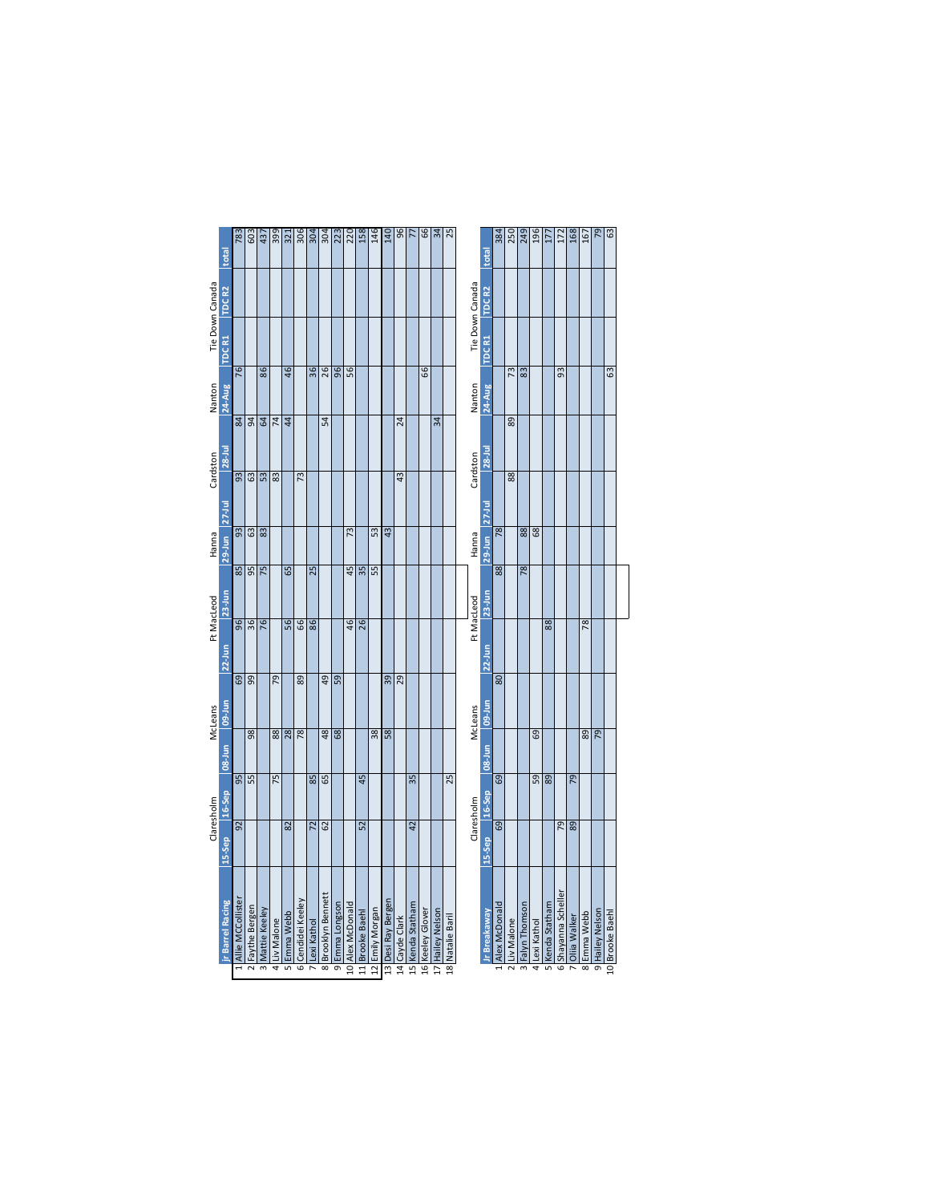|                 | total                   | 783               | $\frac{603}{437}$ |                 | 399            | $\overline{321}$ | $\frac{306}{304}$ |                 |                    | $\frac{304}{228}$ |                  |                 | 146             | 140                | 96              | 77               | 66               | $\frac{4}{3}$    | 25               |                           | total              | 250<br>384                    | 249             | 196            | 177             | 172                 | 168             | 167             | $\overline{54}$ | 63              |
|-----------------|-------------------------|-------------------|-------------------|-----------------|----------------|------------------|-------------------|-----------------|--------------------|-------------------|------------------|-----------------|-----------------|--------------------|-----------------|------------------|------------------|------------------|------------------|---------------------------|--------------------|-------------------------------|-----------------|----------------|-----------------|---------------------|-----------------|-----------------|-----------------|-----------------|
|                 | <b>TDCR2</b>            |                   |                   |                 |                |                  |                   |                 |                    |                   |                  |                 |                 |                    |                 |                  |                  |                  |                  |                           | TDC <sub>R2</sub>  |                               |                 |                |                 |                     |                 |                 |                 |                 |
| Tie Down Canada | TDC <sub>R1</sub>       |                   |                   |                 |                |                  |                   |                 |                    |                   |                  |                 |                 |                    |                 |                  |                  |                  |                  | Tie Down Canada<br>TDC R1 |                    |                               |                 |                |                 |                     |                 |                 |                 |                 |
| Nanton          | $24-Aug$                | 76                |                   | 86              |                | 46               |                   | $\overline{36}$ | 26                 | $\overline{96}$   | 56               |                 |                 |                    |                 |                  | 66               |                  |                  | Nanton                    | 24-Aug             | 73                            | 83              |                |                 | $\overline{93}$     |                 |                 |                 | 63              |
|                 |                         | $\overline{a}$    | $\overline{5}$    | 64              | $\overline{7}$ | 44               |                   |                 | 54                 |                   |                  |                 |                 |                    | 24              |                  |                  | 34               |                  |                           |                    | 89                            |                 |                |                 |                     |                 |                 |                 |                 |
| Cardston        | $28 -$ Jul              | $\overline{93}$   | 63                | 53              | 83             |                  | 73                |                 |                    |                   |                  |                 |                 |                    | 43              |                  |                  |                  |                  | Cardston                  | 28-Jul             | 88                            |                 |                |                 |                     |                 |                 |                 |                 |
|                 |                         |                   |                   |                 |                |                  |                   |                 |                    |                   |                  |                 |                 |                    |                 |                  |                  |                  |                  | $27$ -Jul                 |                    |                               |                 |                |                 |                     |                 |                 |                 |                 |
| Hanna           | 29-Jun 27-Jul           | $\overline{3}$    | $\frac{1}{3}$     |                 |                |                  |                   |                 |                    |                   | 73               |                 | 53              | $\overline{43}$    |                 |                  |                  |                  |                  | $29-$ Jun<br>Hanna        |                    | $\overline{18}$               | 88              | $\overline{8}$ |                 |                     |                 |                 |                 |                 |
|                 |                         | $\overline{85}$   | 95                | 75              |                | 65               |                   | 25              |                    |                   | 45               | 35              | 55              |                    |                 |                  |                  |                  |                  |                           | 88                 |                               | 78              |                |                 |                     |                 |                 |                 |                 |
|                 | 23-Jun                  |                   |                   |                 |                |                  |                   |                 |                    |                   |                  |                 |                 |                    |                 |                  |                  |                  |                  |                           | $23$ -Jun          |                               |                 |                |                 |                     |                 |                 |                 |                 |
| Ft MacLeod      | $22$ -Jun               | $\overline{96}$   | $\overline{36}$   | 76              |                | 56               | $\overline{6}$    | 86              |                    |                   | 46               | 26              |                 |                    |                 |                  |                  |                  |                  | Ft MacLeod<br>$22-$ Jun   |                    |                               |                 |                | 88              |                     |                 | $\overline{78}$ |                 |                 |
|                 |                         | $\overline{69}$   | $\overline{99}$   |                 | 79             |                  | 89                |                 | $\overline{5}$     | $\overline{59}$   |                  |                 |                 | $\overline{39}$    | $\overline{29}$ |                  |                  |                  |                  |                           | $\overline{80}$    |                               |                 |                |                 |                     |                 |                 |                 |                 |
| McLeans         | lo9-Jun                 |                   |                   |                 |                |                  |                   |                 |                    |                   |                  |                 |                 |                    |                 |                  |                  |                  |                  | <b>O9-Jun</b><br>McLeans  |                    |                               |                 |                |                 |                     |                 |                 |                 |                 |
|                 | $08 - Jun$              |                   | 98                |                 | 88             | 28               | 78                |                 | 48                 | $\overline{68}$   |                  |                 | 38              | 58                 |                 |                  |                  |                  |                  |                           | 08-Jun             |                               |                 | 69             |                 |                     |                 | 89              | $\overline{55}$ |                 |
|                 | 16-Sep                  | $\overline{95}$   | 55                |                 | 75             |                  |                   | 85              | 65                 |                   |                  | 45              |                 |                    |                 | 35               |                  |                  | 25               |                           | 69<br>16-Sep       |                               |                 | 59             | 89              |                     | $\overline{55}$ |                 |                 |                 |
| Claresholm      | 15-Sep                  | $\overline{56}$   |                   |                 |                | 82               |                   | $\overline{z}$  | 62                 |                   |                  | $\overline{52}$ |                 |                    |                 | $\overline{42}$  |                  |                  |                  | Claresholm                | 15-Sep             | 69                            |                 |                |                 | 29                  | $\overline{89}$ |                 |                 |                 |
|                 | <b>ir Barrel Racing</b> | Allie MCCollister | 2 Faythe Bergen   | 3 Mattie Keeley | 4 Liv Malone   | Emma Webb<br>ᇹ   | 6 Cendidei Keeley | 7 Lexi Kathol   | 8 Brooklyn Bennett | 9 Emma Longson    | LO Alex McDonald | L1 Brooke Baehl | L2 Emily Morgan | 13 Desi Ray Bergen | L4 Cayde Clark  | L5 Kenda Statham | 16 Keeley Glover | L7 Hailey Nelson | 18 Natalie Baril |                           | <b>r Breakaway</b> | Alex McDonald<br>2 Liv Malone | 3 Falyn Thomson | 4 Lexi Kathol  | 5 Kenda Statham | 6 Shayanna Scheller | 7 Oliia Walker  | 8 Emma Webb     | 9 Hailey Nelson | LO Brooke Baehl |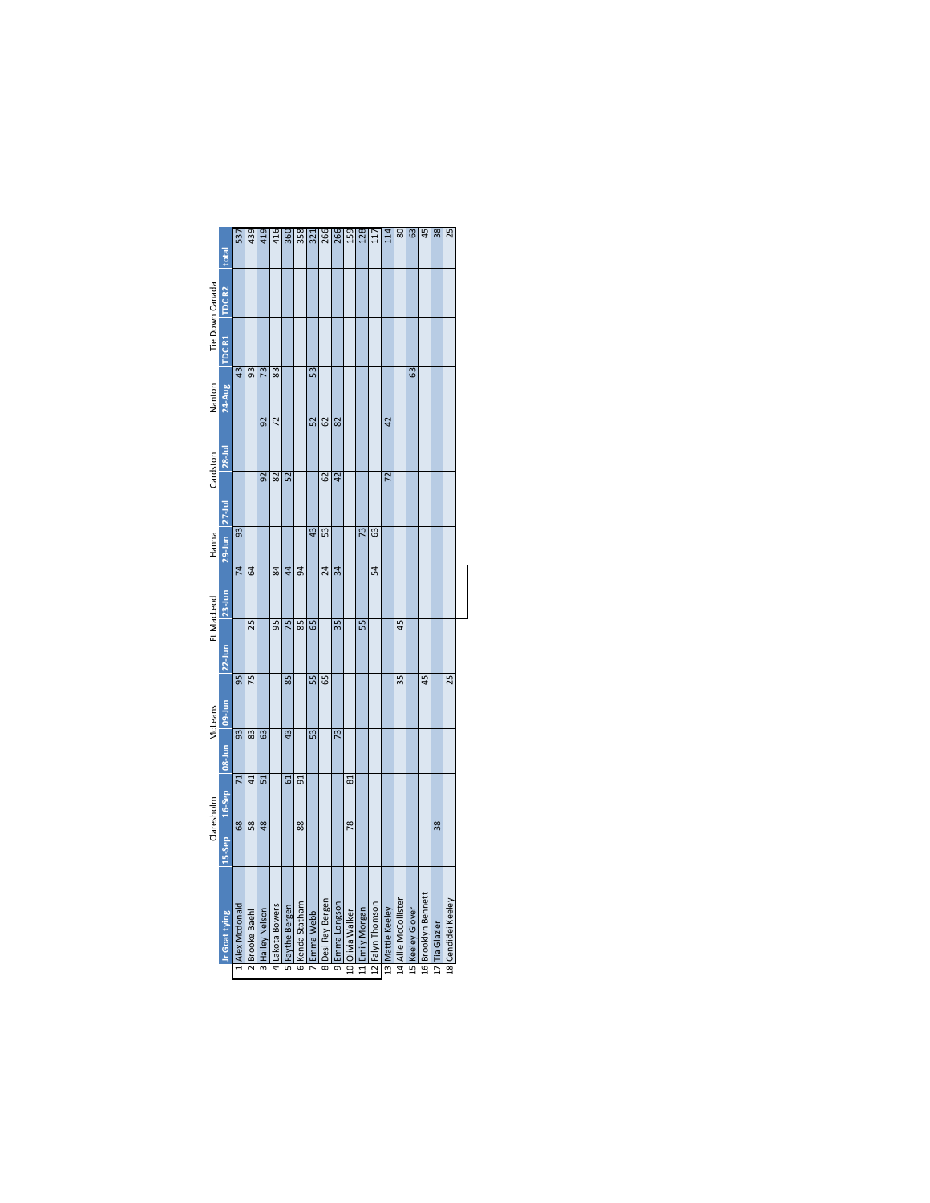|                 | total             | 537             | 439             | 419             | 416             | 360             | 358             | 321             | 266               | 266             | 159              | 128             | $\overline{11}$  | 114              | 80                   | යි               | 45                  | 38             | 25                 |
|-----------------|-------------------|-----------------|-----------------|-----------------|-----------------|-----------------|-----------------|-----------------|-------------------|-----------------|------------------|-----------------|------------------|------------------|----------------------|------------------|---------------------|----------------|--------------------|
| Tie Down Canada | TDC <sub>R2</sub> |                 |                 |                 |                 |                 |                 |                 |                   |                 |                  |                 |                  |                  |                      |                  |                     |                |                    |
|                 | TDC R1            |                 |                 |                 |                 |                 |                 |                 |                   |                 |                  |                 |                  |                  |                      |                  |                     |                |                    |
| Nanton          | 24-Aug            | $\overline{43}$ | 93              | 73              | 83              |                 |                 | 53              |                   |                 |                  |                 |                  |                  |                      | යි               |                     |                |                    |
|                 | $28$ -Jul         |                 |                 | $\overline{2}$  | $\overline{z}$  |                 |                 | $\overline{52}$ | $\overline{62}$   | 82              |                  |                 |                  | $\overline{2}$   |                      |                  |                     |                |                    |
| Cardston        |                   |                 |                 | $\overline{92}$ | $\overline{82}$ | 52              |                 |                 | 29                | $\overline{42}$ |                  |                 |                  | $\overline{2}$   |                      |                  |                     |                |                    |
| Hanna           | 29-Jun 27-Jul     | $\overline{3}$  |                 |                 |                 |                 |                 | $\overline{43}$ | S3                |                 |                  | $\overline{73}$ | යි               |                  |                      |                  |                     |                |                    |
|                 | 23-Jun            | $\overline{74}$ | 64              |                 | $\overline{84}$ | 44              | 94              |                 | 24                | $\overline{34}$ |                  |                 | 54               |                  |                      |                  |                     |                |                    |
| Ft MacLeod      | 22-Jun            |                 | 25              |                 | $\overline{5}$  | 75              | $\overline{85}$ | 65              |                   | 35              |                  | 55              |                  |                  | 45                   |                  |                     |                |                    |
|                 |                   | $\overline{95}$ | 75              |                 |                 | 85              |                 | 55              | 65                |                 |                  |                 |                  |                  | $\overline{35}$      |                  | 45                  |                | 25                 |
| McLeans         | nul-80 mL-80      | $\overline{93}$ | $\overline{83}$ | 63              |                 | 4 <sup>3</sup>  |                 | 53              |                   | 73              |                  |                 |                  |                  |                      |                  |                     |                |                    |
|                 |                   | $\mathbf{r}$    | 41              | 51              |                 | 5               | 51              |                 |                   |                 | ವ                |                 |                  |                  |                      |                  |                     |                |                    |
| Claresholm      | 15-Sep 16-Sep     | $\frac{8}{10}$  | $\overline{58}$ | 48              |                 |                 | $\overline{88}$ |                 |                   |                 | 78               |                 |                  |                  |                      |                  |                     | 38             |                    |
|                 | Ir Goat tying     | Alex Mcdonald   | 2 Brooke Baehl  | 3 Hailey Nelson | 4 Lakota Bowers | 5 Faythe Bergen | 6 Kenda Statham | Emma Webb       | 8 Desi Ray Bergen | 9 Emma Longson  | L0 Olivia Walker | L1 Emily Morgan | L2 Falyn Thomson | L3 Mattie Keeley | L4 Allie McCollister | L5 Keeley Glover | L6 Brooklyn Bennett | L7 Tia Glazier | 18 Cendidei Keeley |